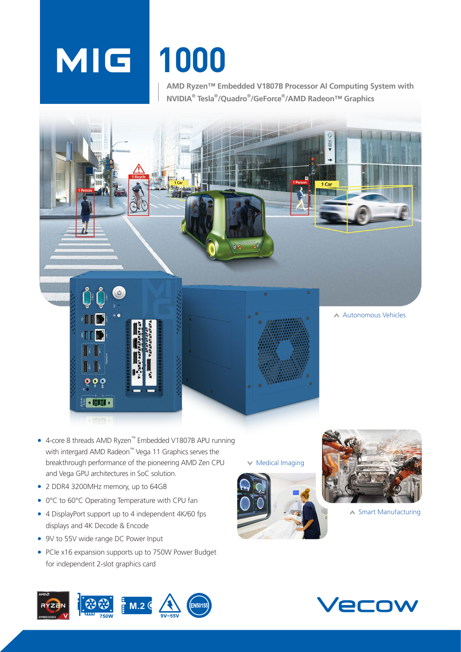# **1000**

**AMD Ryzen™ Embedded V1807B Processor AI Computing System with NVIDIA® Tesla® /Quadro® /GeForce® /AMD Radeon™ Graphics**



- 4-core 8 threads AMD Ryzen™ Embedded V1807B APU running with intergard AMD Radeon™ Vega 11 Graphics serves the breakthrough performance of the pioneering AMD Zen CPU and Vega GPU architectures in SoC solution.
- 2 DDR4 3200MHz memory, up to 64GB
- 0°C to 60°C Operating Temperature with CPU fan
- 4 DisplayPort support up to 4 independent 4K/60 fps displays and 4K Decode & Encode
- 9V to 55V wide range DC Power Input
- PCIe x16 expansion supports up to 750W Power Budget for independent 2-slot graphics card

 $\times$  Medical Imaging





◆ Smart Manufacturing